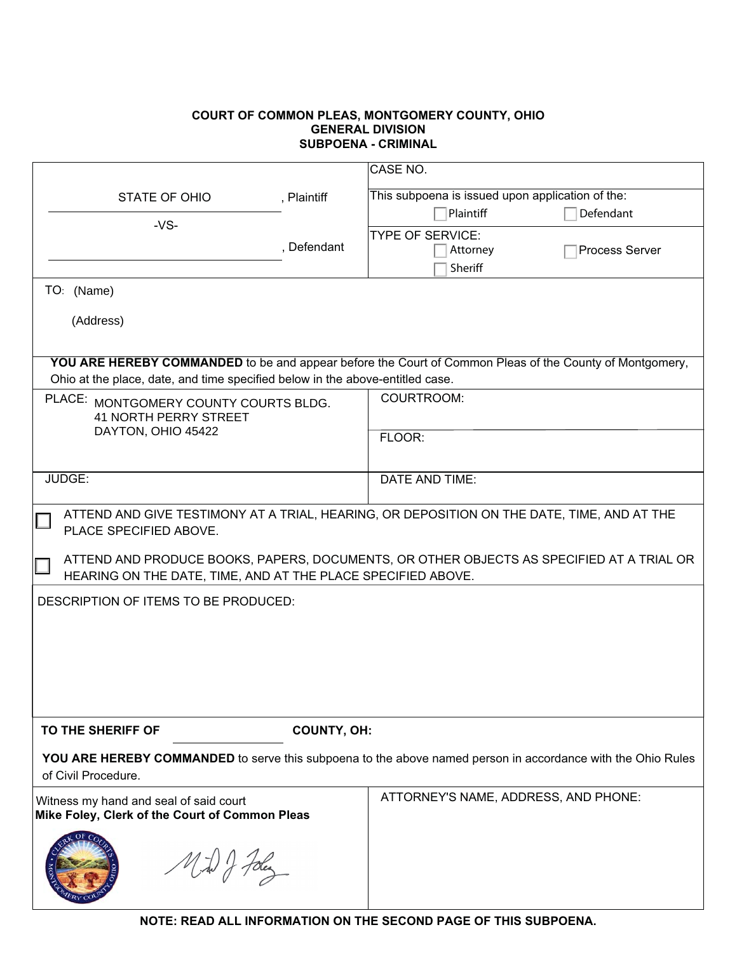## **COURT OF COMMON PLEAS, MONTGOMERY COUNTY, OHIO GENERAL DIVISION**

|                                                                                                                                                                                                 |                    | CASE NO.                                              |  |  |
|-------------------------------------------------------------------------------------------------------------------------------------------------------------------------------------------------|--------------------|-------------------------------------------------------|--|--|
| STATE OF OHIO                                                                                                                                                                                   | , Plaintiff        | This subpoena is issued upon application of the:      |  |  |
| $-VS-$                                                                                                                                                                                          |                    | Plaintiff<br>Defendant                                |  |  |
|                                                                                                                                                                                                 | , Defendant        | <b>TYPE OF SERVICE:</b><br>Process Server<br>Attorney |  |  |
|                                                                                                                                                                                                 |                    | Sheriff                                               |  |  |
| TO: (Name)                                                                                                                                                                                      |                    |                                                       |  |  |
| (Address)                                                                                                                                                                                       |                    |                                                       |  |  |
|                                                                                                                                                                                                 |                    |                                                       |  |  |
| <b>YOU ARE HEREBY COMMANDED</b> to be and appear before the Court of Common Pleas of the County of Montgomery,<br>Ohio at the place, date, and time specified below in the above-entitled case. |                    |                                                       |  |  |
| PLACE: MONTGOMERY COUNTY COURTS BLDG.<br><b>41 NORTH PERRY STREET</b><br>DAYTON, OHIO 45422                                                                                                     |                    | COURTROOM:                                            |  |  |
|                                                                                                                                                                                                 |                    |                                                       |  |  |
|                                                                                                                                                                                                 |                    | FLOOR:                                                |  |  |
| JUDGE:                                                                                                                                                                                          |                    | DATE AND TIME:                                        |  |  |
|                                                                                                                                                                                                 |                    |                                                       |  |  |
| ATTEND AND GIVE TESTIMONY AT A TRIAL, HEARING, OR DEPOSITION ON THE DATE, TIME, AND AT THE<br>PLACE SPECIFIED ABOVE.                                                                            |                    |                                                       |  |  |
| ATTEND AND PRODUCE BOOKS, PAPERS, DOCUMENTS, OR OTHER OBJECTS AS SPECIFIED AT A TRIAL OR<br>HEARING ON THE DATE, TIME, AND AT THE PLACE SPECIFIED ABOVE.                                        |                    |                                                       |  |  |
| DESCRIPTION OF ITEMS TO BE PRODUCED:                                                                                                                                                            |                    |                                                       |  |  |
|                                                                                                                                                                                                 |                    |                                                       |  |  |
|                                                                                                                                                                                                 |                    |                                                       |  |  |
|                                                                                                                                                                                                 |                    |                                                       |  |  |
|                                                                                                                                                                                                 |                    |                                                       |  |  |
| TO THE SHERIFF OF                                                                                                                                                                               | <b>COUNTY, OH:</b> |                                                       |  |  |
|                                                                                                                                                                                                 |                    |                                                       |  |  |
| YOU ARE HEREBY COMMANDED to serve this subpoena to the above named person in accordance with the Ohio Rules<br>of Civil Procedure.                                                              |                    |                                                       |  |  |
| Witness my hand and seal of said court<br>Mike Foley, Clerk of the Court of Common Pleas                                                                                                        |                    | ATTORNEY'S NAME, ADDRESS, AND PHONE:                  |  |  |
|                                                                                                                                                                                                 |                    |                                                       |  |  |